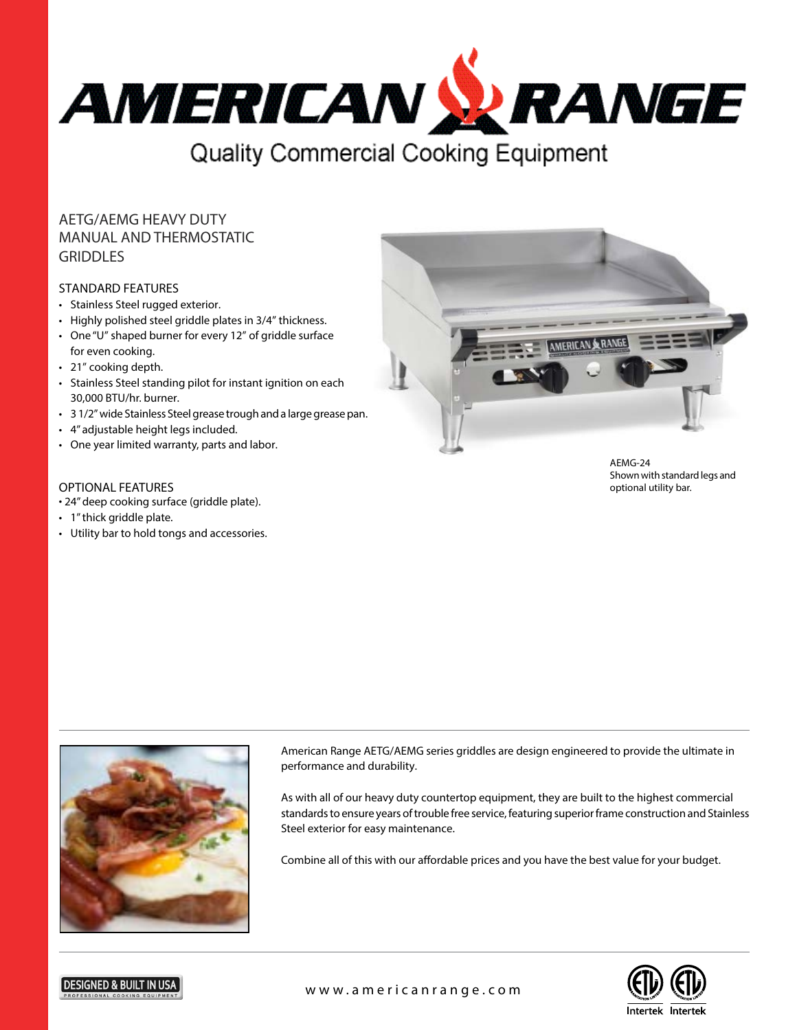

# AETG/AEMG HEAVY DUTY MANUAL AND THERMOSTATIC GRIDDLES

### STANDARD FEATURES

- Stainless Steel rugged exterior.
- Highly polished steel griddle plates in 3/4" thickness.
- One "U" shaped burner for every 12" of griddle surface for even cooking.
- 21" cooking depth.
- Stainless Steel standing pilot for instant ignition on each 30,000 BTU/hr. burner.
- 3 1/2" wide Stainless Steel grease trough and a large grease pan.
- 4" adjustable height legs included.
- One year limited warranty, parts and labor.

## OPTIONAL FEATURES

- 24" deep cooking surface (griddle plate).
- 1" thick griddle plate.
- Utility bar to hold tongs and accessories.



AEMG-24 Shown with standard legs and optional utility bar.



**DESIGNED & BUILT IN** 

American Range AETG/AEMG series griddles are design engineered to provide the ultimate in performance and durability.

As with all of our heavy duty countertop equipment, they are built to the highest commercial standards to ensure years of trouble free service, featuring superior frame construction and Stainless Steel exterior for easy maintenance.

Combine all of this with our affordable prices and you have the best value for your budget.